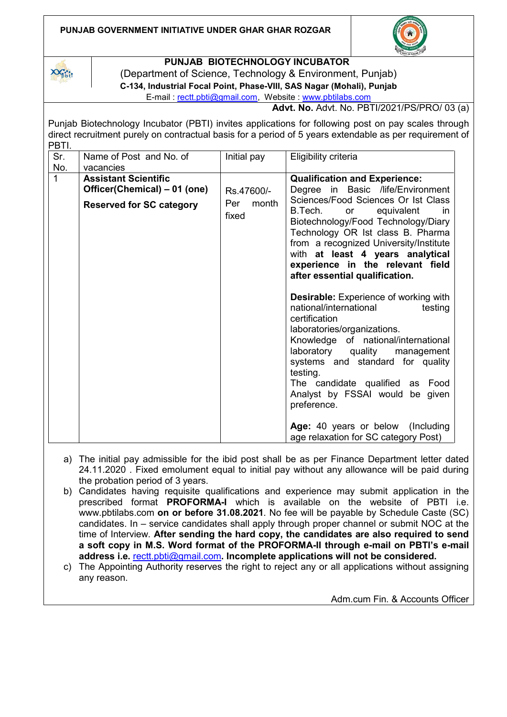## **PUNJAB GOVERNMENT INITIATIVE UNDER GHAR GHAR ROZGAR**



## **PUNJAB BIOTECHNOLOGY INCUBATOR**

 $X \times_{\text{pbit}} X$ 

(Department of Science, Technology & Environment, Punjab) **C-134, Industrial Focal Point, Phase-VIII, SAS Nagar (Mohali), Punjab**

E-mail : [rectt.pbti@gmail.com,](mailto:rectt.pbti@gmail.com) Website : [www.pbtilabs.com](http://www.pbtilabs.com/)

**Advt. No.** Advt. No. PBTI/2021/PS/PRO/ 03 (a)

Punjab Biotechnology Incubator (PBTI) invites applications for following post on pay scales through direct recruitment purely on contractual basis for a period of 5 years extendable as per requirement of PBTI.

| Sr.<br>No. | Name of Post and No. of<br>vacancies                                                           | Initial pay                         | Eligibility criteria                                                                                                                                                                                                                                                                                                                                                                                                                                                                                                                                                                                                                                                                                                                                                                                                     |
|------------|------------------------------------------------------------------------------------------------|-------------------------------------|--------------------------------------------------------------------------------------------------------------------------------------------------------------------------------------------------------------------------------------------------------------------------------------------------------------------------------------------------------------------------------------------------------------------------------------------------------------------------------------------------------------------------------------------------------------------------------------------------------------------------------------------------------------------------------------------------------------------------------------------------------------------------------------------------------------------------|
| 1          | <b>Assistant Scientific</b><br>Officer(Chemical) – 01 (one)<br><b>Reserved for SC category</b> | Rs.47600/-<br>Per<br>month<br>fixed | <b>Qualification and Experience:</b><br>Degree in Basic /life/Environment<br>Sciences/Food Sciences Or Ist Class<br>B.Tech.<br>or<br>equivalent<br>in.<br>Biotechnology/Food Technology/Diary<br>Technology OR Ist class B. Pharma<br>from a recognized University/Institute<br>with at least 4 years analytical<br>experience in the relevant field<br>after essential qualification.<br><b>Desirable:</b> Experience of working with<br>national/international<br>testing<br>certification<br>laboratories/organizations.<br>Knowledge of national/international<br>laboratory quality<br>management<br>systems and standard for quality<br>testing.<br>The candidate qualified as Food<br>Analyst by FSSAI would be given<br>preference.<br>Age: 40 years or below (Including<br>age relaxation for SC category Post) |

- a) The initial pay admissible for the ibid post shall be as per Finance Department letter dated 24.11.2020 . Fixed emolument equal to initial pay without any allowance will be paid during the probation period of 3 years.
- b) Candidates having requisite qualifications and experience may submit application in the prescribed format **PROFORMA-I** which is available on the website of PBTI i.e. www.pbtilabs.com **on or before 31.08.2021**. No fee will be payable by Schedule Caste (SC) candidates. In – service candidates shall apply through proper channel or submit NOC at the time of Interview. **After sending the hard copy, the candidates are also required to send a soft copy in M.S. Word format of the PROFORMA-II through e-mail on PBTI's e-mail address i.e.** [rectt.pbti@gmail.com](mailto:rectt.pbti@gmail.com)**. Incomplete applications will not be considered.**
- c) The Appointing Authority reserves the right to reject any or all applications without assigning any reason.

Adm.cum Fin. & Accounts Officer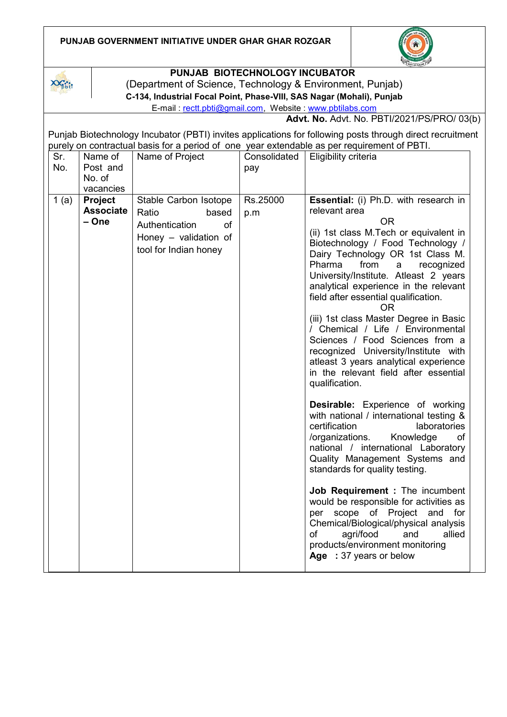| <b>PUNJAB GOVERNMENT INITIATIVE UNDER GHAR GHAR ROZGAR</b> |  |
|------------------------------------------------------------|--|
|------------------------------------------------------------|--|





## **PUNJAB BIOTECHNOLOGY INCUBATOR**

(Department of Science, Technology & Environment, Punjab)

**C-134, Industrial Focal Point, Phase-VIII, SAS Nagar (Mohali), Punjab**

E-mail : [rectt.pbti@gmail.com,](mailto:rectt.pbti@gmail.com) Website : [www.pbtilabs.com](http://www.pbtilabs.com/)

**Advt. No.** Advt. No. PBTI/2021/PS/PRO/ 03(b)

Punjab Biotechnology Incubator (PBTI) invites applications for following posts through direct recruitment purely on contractual basis for a period of one year extendable as per requirement of PBTI.

| Sr.  | Name of          | Name of Project             | Consolidated | Eligibility criteria                                                          |
|------|------------------|-----------------------------|--------------|-------------------------------------------------------------------------------|
| No.  | Post and         |                             | pay          |                                                                               |
|      | No. of           |                             |              |                                                                               |
|      | vacancies        |                             |              |                                                                               |
| 1(a) | <b>Project</b>   | Stable Carbon Isotope       | Rs.25000     | Essential: (i) Ph.D. with research in                                         |
|      | <b>Associate</b> | Ratio<br>based              | p.m          | relevant area                                                                 |
|      | - One            | Authentication<br><b>of</b> |              | <b>OR</b>                                                                     |
|      |                  | Honey $-$ validation of     |              | (ii) 1st class M.Tech or equivalent in                                        |
|      |                  | tool for Indian honey       |              | Biotechnology / Food Technology /                                             |
|      |                  |                             |              | Dairy Technology OR 1st Class M.                                              |
|      |                  |                             |              | Pharma<br>from<br>recognized<br>a                                             |
|      |                  |                             |              | University/Institute. Atleast 2 years                                         |
|      |                  |                             |              | analytical experience in the relevant<br>field after essential qualification. |
|      |                  |                             |              | <b>OR</b>                                                                     |
|      |                  |                             |              | (iii) 1st class Master Degree in Basic                                        |
|      |                  |                             |              | / Chemical / Life / Environmental                                             |
|      |                  |                             |              | Sciences / Food Sciences from a                                               |
|      |                  |                             |              | recognized University/Institute with                                          |
|      |                  |                             |              | atleast 3 years analytical experience                                         |
|      |                  |                             |              | in the relevant field after essential                                         |
|      |                  |                             |              | qualification.                                                                |
|      |                  |                             |              | <b>Desirable:</b> Experience of working                                       |
|      |                  |                             |              | with national / international testing &                                       |
|      |                  |                             |              | certification<br>laboratories                                                 |
|      |                  |                             |              | /organizations.<br>Knowledge<br><b>of</b>                                     |
|      |                  |                             |              | national / international Laboratory                                           |
|      |                  |                             |              | Quality Management Systems and                                                |
|      |                  |                             |              | standards for quality testing.                                                |
|      |                  |                             |              | Job Requirement : The incumbent                                               |
|      |                  |                             |              | would be responsible for activities as                                        |
|      |                  |                             |              | scope of Project<br>and for<br>per                                            |
|      |                  |                             |              | Chemical/Biological/physical analysis                                         |
|      |                  |                             |              | of<br>agri/food<br>allied<br>and                                              |
|      |                  |                             |              | products/environment monitoring<br>Age : 37 years or below                    |
|      |                  |                             |              |                                                                               |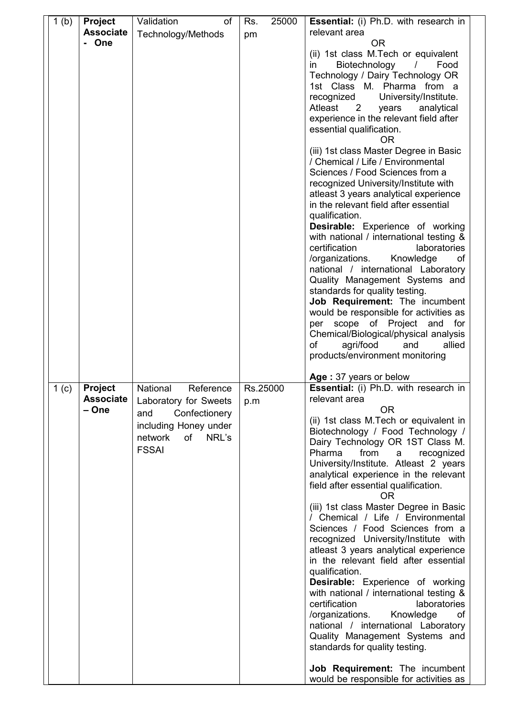| 1(b)             | <b>Project</b>                              | Validation<br>of                                                                                                                       | 25000<br>Rs.    | <b>Essential:</b> (i) Ph.D. with research in                                                                                                                                                                                                                                                                                                                                                                                                                                                                                                                                                                                                                                                                                                                                                                                                                                                                                        |
|------------------|---------------------------------------------|----------------------------------------------------------------------------------------------------------------------------------------|-----------------|-------------------------------------------------------------------------------------------------------------------------------------------------------------------------------------------------------------------------------------------------------------------------------------------------------------------------------------------------------------------------------------------------------------------------------------------------------------------------------------------------------------------------------------------------------------------------------------------------------------------------------------------------------------------------------------------------------------------------------------------------------------------------------------------------------------------------------------------------------------------------------------------------------------------------------------|
|                  | <b>Associate</b>                            | Technology/Methods                                                                                                                     | pm              | relevant area                                                                                                                                                                                                                                                                                                                                                                                                                                                                                                                                                                                                                                                                                                                                                                                                                                                                                                                       |
|                  | - One                                       |                                                                                                                                        |                 | ΟR<br>(ii) 1st class M.Tech or equivalent<br>Biotechnology<br>in.<br>$\sqrt{2}$<br>Food<br>Technology / Dairy Technology OR<br>1st Class M. Pharma from a<br>University/Institute.<br>recognized<br>Atleast<br>$\overline{2}$<br>years<br>analytical<br>experience in the relevant field after<br>essential qualification.<br><b>OR</b>                                                                                                                                                                                                                                                                                                                                                                                                                                                                                                                                                                                             |
|                  |                                             |                                                                                                                                        |                 | (iii) 1st class Master Degree in Basic<br>/ Chemical / Life / Environmental<br>Sciences / Food Sciences from a<br>recognized University/Institute with<br>atleast 3 years analytical experience<br>in the relevant field after essential<br>qualification.<br>Desirable: Experience of working<br>with national / international testing &<br>laboratories<br>certification<br>/organizations.<br>Knowledge<br>оf<br>national / international Laboratory<br>Quality Management Systems and<br>standards for quality testing.<br>Job Requirement: The incumbent<br>would be responsible for activities as<br>scope of Project and<br>per<br>for<br>Chemical/Biological/physical analysis<br>agri/food<br>and<br>οf<br>allied                                                                                                                                                                                                          |
|                  |                                             |                                                                                                                                        |                 | products/environment monitoring                                                                                                                                                                                                                                                                                                                                                                                                                                                                                                                                                                                                                                                                                                                                                                                                                                                                                                     |
|                  |                                             |                                                                                                                                        |                 | Age: 37 years or below                                                                                                                                                                                                                                                                                                                                                                                                                                                                                                                                                                                                                                                                                                                                                                                                                                                                                                              |
| 1 <sub>(c)</sub> | <b>Project</b><br><b>Associate</b><br>– One | National<br>Reference<br>Laboratory for Sweets<br>Confectionery<br>and<br>including Honey under<br>network<br>of NRL's<br><b>FSSAI</b> | Rs.25000<br>p.m | Essential: (i) Ph.D. with research in<br>relevant area<br><b>OR</b><br>(ii) 1st class M.Tech or equivalent in<br>Biotechnology / Food Technology /<br>Dairy Technology OR 1ST Class M.<br>Pharma<br>from<br>recognized<br>a<br>University/Institute. Atleast 2 years<br>analytical experience in the relevant<br>field after essential qualification.<br><b>OR</b><br>(iii) 1st class Master Degree in Basic<br>/ Chemical / Life / Environmental<br>Sciences / Food Sciences from a<br>recognized University/Institute with<br>atleast 3 years analytical experience<br>in the relevant field after essential<br>qualification.<br>Desirable: Experience of working<br>with national / international testing &<br>certification<br>laboratories<br>/organizations.<br>Knowledge<br>οf<br>national / international Laboratory<br>Quality Management Systems and<br>standards for quality testing.<br>Job Requirement: The incumbent |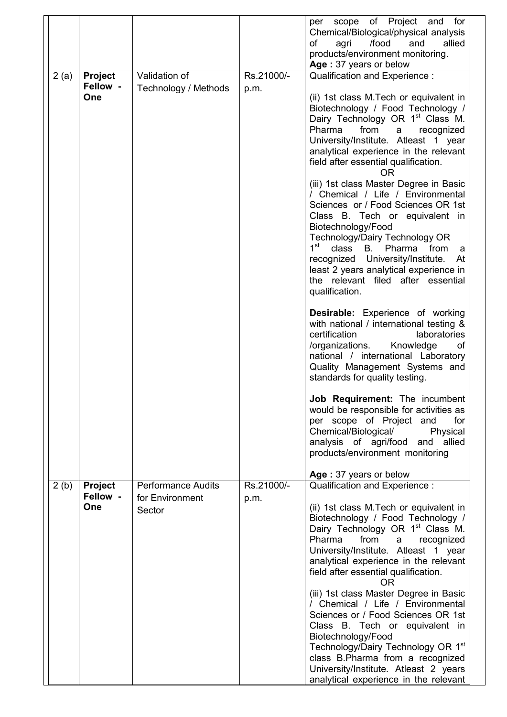|      |                                   |                                                        |                    | scope of Project and<br>for<br>per<br>Chemical/Biological/physical analysis<br>agri<br>/food<br>allied<br>and<br>οf<br>products/environment monitoring.<br>Age: 37 years or below                                                                                                                                                                                                                                                                                                                                                                                                                                                                                                                                                                      |
|------|-----------------------------------|--------------------------------------------------------|--------------------|--------------------------------------------------------------------------------------------------------------------------------------------------------------------------------------------------------------------------------------------------------------------------------------------------------------------------------------------------------------------------------------------------------------------------------------------------------------------------------------------------------------------------------------------------------------------------------------------------------------------------------------------------------------------------------------------------------------------------------------------------------|
| 2(a) | Project<br>Fellow -<br>One        | Validation of<br>Technology / Methods                  | Rs.21000/-<br>p.m. | Qualification and Experience :<br>(ii) 1st class M.Tech or equivalent in<br>Biotechnology / Food Technology /<br>Dairy Technology OR 1 <sup>st</sup> Class M.<br>Pharma<br>from<br>recognized<br>a<br>University/Institute. Atleast 1 year<br>analytical experience in the relevant<br>field after essential qualification.<br><b>OR</b><br>(iii) 1st class Master Degree in Basic<br>/ Chemical / Life / Environmental<br>Sciences or / Food Sciences OR 1st<br>Class B. Tech or equivalent in<br>Biotechnology/Food<br>Technology/Dairy Technology OR<br>1 <sup>st</sup><br>class<br>B. Pharma from<br>a<br>recognized University/Institute.<br>At<br>least 2 years analytical experience in<br>the relevant filed after essential<br>qualification. |
|      |                                   |                                                        |                    | Desirable: Experience of working<br>with national / international testing &<br>certification<br>laboratories<br>Knowledge<br>/organizations.<br>οf<br>national / international Laboratory<br>Quality Management Systems and<br>standards for quality testing.<br>Job Requirement: The incumbent<br>would be responsible for activities as<br>per scope of Project and<br>for<br>Chemical/Biological/<br>Physical<br>analysis of agri/food and<br>allied<br>products/environment monitoring                                                                                                                                                                                                                                                             |
| 2(b) | <b>Project</b><br>Fellow -<br>One | <b>Performance Audits</b><br>for Environment<br>Sector | Rs.21000/-<br>p.m. | Age: 37 years or below<br>Qualification and Experience:<br>(ii) 1st class M. Tech or equivalent in<br>Biotechnology / Food Technology /<br>Dairy Technology OR 1 <sup>st</sup> Class M.<br>Pharma<br>from<br>a<br>recognized<br>University/Institute. Atleast 1 year<br>analytical experience in the relevant<br>field after essential qualification.<br><b>OR</b><br>(iii) 1st class Master Degree in Basic<br>/ Chemical / Life / Environmental<br>Sciences or / Food Sciences OR 1st<br>Class B. Tech or equivalent in<br>Biotechnology/Food<br>Technology/Dairy Technology OR 1st<br>class B.Pharma from a recognized<br>University/Institute. Atleast 2 years<br>analytical experience in the relevant                                            |